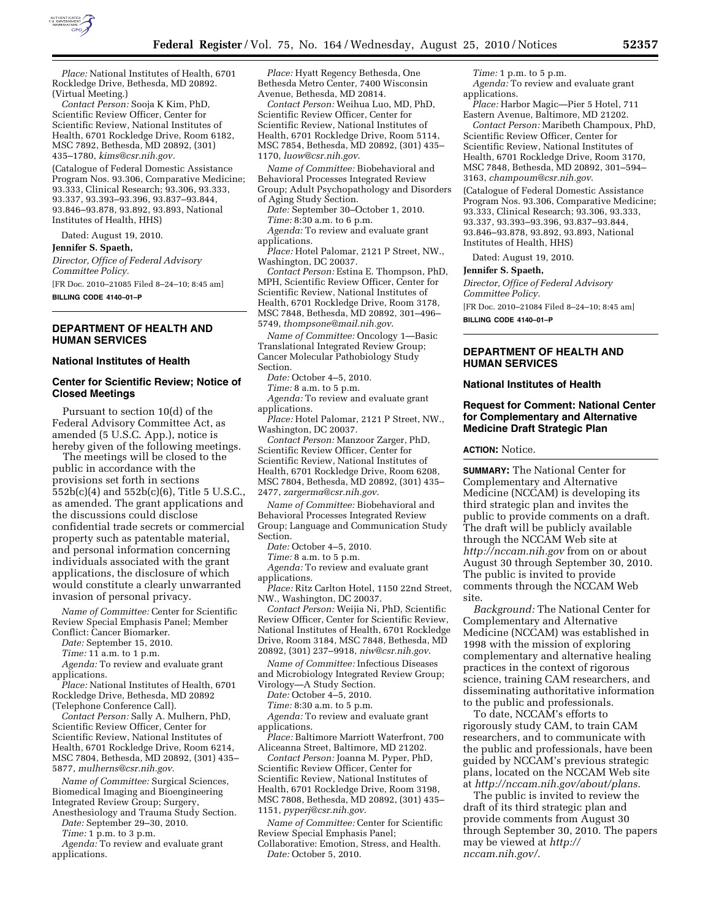

*Place:* National Institutes of Health, 6701 Rockledge Drive, Bethesda, MD 20892. (Virtual Meeting.)

*Contact Person:* Sooja K Kim, PhD, Scientific Review Officer, Center for Scientific Review, National Institutes of Health, 6701 Rockledge Drive, Room 6182, MSC 7892, Bethesda, MD 20892, (301) 435–1780, *[kims@csr.nih.gov.](mailto:kims@csr.nih.gov)* 

(Catalogue of Federal Domestic Assistance Program Nos. 93.306, Comparative Medicine; 93.333, Clinical Research; 93.306, 93.333, 93.337, 93.393–93.396, 93.837–93.844, 93.846–93.878, 93.892, 93.893, National Institutes of Health, HHS)

Dated: August 19, 2010.

#### **Jennifer S. Spaeth,**

*Director, Office of Federal Advisory Committee Policy.* 

[FR Doc. 2010–21085 Filed 8–24–10; 8:45 am] **BILLING CODE 4140–01–P** 

# **DEPARTMENT OF HEALTH AND HUMAN SERVICES**

#### **National Institutes of Health**

# **Center for Scientific Review; Notice of Closed Meetings**

Pursuant to section 10(d) of the Federal Advisory Committee Act, as amended (5 U.S.C. App.), notice is hereby given of the following meetings.

The meetings will be closed to the public in accordance with the provisions set forth in sections 552b(c)(4) and 552b(c)(6), Title 5 U.S.C., as amended. The grant applications and the discussions could disclose confidential trade secrets or commercial property such as patentable material, and personal information concerning individuals associated with the grant applications, the disclosure of which would constitute a clearly unwarranted invasion of personal privacy.

*Name of Committee:* Center for Scientific Review Special Emphasis Panel; Member Conflict: Cancer Biomarker.

*Date:* September 15, 2010.

*Time:* 11 a.m. to 1 p.m.

*Agenda:* To review and evaluate grant applications.

*Place:* National Institutes of Health, 6701 Rockledge Drive, Bethesda, MD 20892 (Telephone Conference Call).

*Contact Person:* Sally A. Mulhern, PhD, Scientific Review Officer, Center for Scientific Review, National Institutes of Health, 6701 Rockledge Drive, Room 6214, MSC 7804, Bethesda, MD 20892, (301) 435– 5877, *[mulherns@csr.nih.gov](mailto:mulherns@csr.nih.gov)*.

*Name of Committee:* Surgical Sciences, Biomedical Imaging and Bioengineering Integrated Review Group; Surgery,

Anesthesiology and Trauma Study Section. *Date:* September 29–30, 2010.

*Time:* 1 p.m. to 3 p.m.

*Agenda:* To review and evaluate grant applications.

*Place:* Hyatt Regency Bethesda, One Bethesda Metro Center, 7400 Wisconsin Avenue, Bethesda, MD 20814.

*Contact Person:* Weihua Luo, MD, PhD, Scientific Review Officer, Center for Scientific Review, National Institutes of Health, 6701 Rockledge Drive, Room 5114, MSC 7854, Bethesda, MD 20892, (301) 435– 1170, *[luow@csr.nih.gov](mailto:luow@csr.nih.gov)*.

*Name of Committee:* Biobehavioral and Behavioral Processes Integrated Review Group; Adult Psychopathology and Disorders of Aging Study Section.

*Date:* September 30–October 1, 2010. *Time:* 8:30 a.m. to 6 p.m.

*Agenda:* To review and evaluate grant applications.

*Place:* Hotel Palomar, 2121 P Street, NW., Washington, DC 20037.

*Contact Person:* Estina E. Thompson, PhD, MPH, Scientific Review Officer, Center for Scientific Review, National Institutes of Health, 6701 Rockledge Drive, Room 3178, MSC 7848, Bethesda, MD 20892, 301–496– 5749, *[thompsone@mail.nih.gov](mailto:thompsone@mail.nih.gov)*.

*Name of Committee:* Oncology 1—Basic Translational Integrated Review Group; Cancer Molecular Pathobiology Study Section.

*Date:* October 4–5, 2010.

*Time:* 8 a.m. to 5 p.m.

*Agenda:* To review and evaluate grant applications.

*Place:* Hotel Palomar, 2121 P Street, NW., Washington, DC 20037.

*Contact Person:* Manzoor Zarger, PhD, Scientific Review Officer, Center for Scientific Review, National Institutes of Health, 6701 Rockledge Drive, Room 6208, MSC 7804, Bethesda, MD 20892, (301) 435– 2477, *[zargerma@csr.nih.gov](mailto:zargerma@csr.nih.gov)*.

*Name of Committee:* Biobehavioral and Behavioral Processes Integrated Review Group; Language and Communication Study Section.

*Date:* October 4–5, 2010.

*Time:* 8 a.m. to 5 p.m.

*Agenda:* To review and evaluate grant applications.

*Place:* Ritz Carlton Hotel, 1150 22nd Street, NW., Washington, DC 20037.

*Contact Person:* Weijia Ni, PhD, Scientific Review Officer, Center for Scientific Review, National Institutes of Health, 6701 Rockledge Drive, Room 3184, MSC 7848, Bethesda, MD 20892, (301) 237–9918, *[niw@csr.nih.gov](mailto:niw@csr.nih.gov)*.

*Name of Committee:* Infectious Diseases and Microbiology Integrated Review Group; Virology—A Study Section.

*Date:* October 4–5, 2010.

*Time:* 8:30 a.m. to 5 p.m.

*Agenda:* To review and evaluate grant applications.

*Place:* Baltimore Marriott Waterfront, 700 Aliceanna Street, Baltimore, MD 21202.

*Contact Person:* Joanna M. Pyper, PhD, Scientific Review Officer, Center for Scientific Review, National Institutes of Health, 6701 Rockledge Drive, Room 3198, MSC 7808, Bethesda, MD 20892, (301) 435– 1151, *[pyperj@csr.nih.gov](mailto:pyperj@csr.nih.gov)*.

*Name of Committee:* Center for Scientific Review Special Emphasis Panel; Collaborative: Emotion, Stress, and Health.

*Date:* October 5, 2010.

*Time:* 1 p.m. to 5 p.m. *Agenda:* To review and evaluate grant

applications. *Place:* Harbor Magic—Pier 5 Hotel, 711

Eastern Avenue, Baltimore, MD 21202. *Contact Person:* Maribeth Champoux, PhD, Scientific Review Officer, Center for Scientific Review, National Institutes of Health, 6701 Rockledge Drive, Room 3170, MSC 7848, Bethesda, MD 20892, 301–594– 3163, *[champoum@csr.nih.gov](mailto:champoum@csr.nih.gov)*.

(Catalogue of Federal Domestic Assistance Program Nos. 93.306, Comparative Medicine; 93.333, Clinical Research; 93.306, 93.333, 93.337, 93.393–93.396, 93.837–93.844, 93.846–93.878, 93.892, 93.893, National Institutes of Health, HHS)

Dated: August 19, 2010.

**Jennifer S. Spaeth,** 

*Director, Office of Federal Advisory Committee Policy.* 

[FR Doc. 2010–21084 Filed 8–24–10; 8:45 am] **BILLING CODE 4140–01–P** 

# **DEPARTMENT OF HEALTH AND HUMAN SERVICES**

#### **National Institutes of Health**

### **Request for Comment: National Center for Complementary and Alternative Medicine Draft Strategic Plan**

#### **ACTION:** Notice.

**SUMMARY:** The National Center for Complementary and Alternative Medicine (NCCAM) is developing its third strategic plan and invites the public to provide comments on a draft. The draft will be publicly available through the NCCAM Web site at *<http://nccam.nih.gov>* from on or about August 30 through September 30, 2010. The public is invited to provide comments through the NCCAM Web site.

*Background:* The National Center for Complementary and Alternative Medicine (NCCAM) was established in 1998 with the mission of exploring complementary and alternative healing practices in the context of rigorous science, training CAM researchers, and disseminating authoritative information to the public and professionals.

To date, NCCAM's efforts to rigorously study CAM, to train CAM researchers, and to communicate with the public and professionals, have been guided by NCCAM's previous strategic plans, located on the NCCAM Web site at *[http://nccam.nih.gov/about/plans.](http://nccam.nih.gov/about/plans)* 

The public is invited to review the draft of its third strategic plan and provide comments from August 30 through September 30, 2010. The papers may be viewed at *[http://](http://nccam.nih.gov/)  [nccam.nih.gov/.](http://nccam.nih.gov/)*